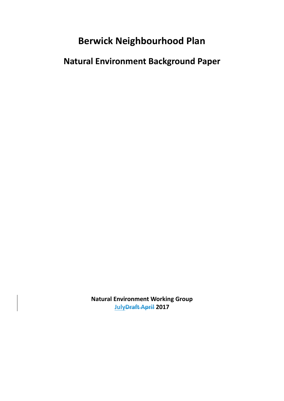# **Berwick Neighbourhood Plan**

**Natural Environment Background Paper**

**Natural Environment Working Group JulyDraft April 2017**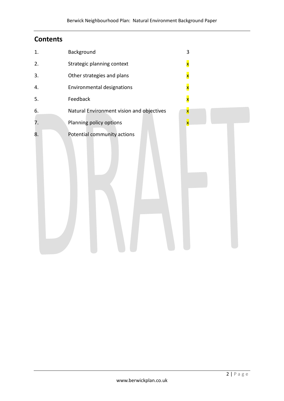# **Contents**

| 1. | Background                                | 3                       |
|----|-------------------------------------------|-------------------------|
| 2. | Strategic planning context                | $\mathbf{x}$            |
| 3. | Other strategies and plans                | $\overline{\mathbf{x}}$ |
| 4. | Environmental designations                | $\overline{\mathbf{x}}$ |
| 5. | Feedback                                  | $\overline{\textbf{x}}$ |
| 6. | Natural Environment vision and objectives | $\mathbf{x}$            |
| 7. | Planning policy options                   | $\overline{\mathbf{x}}$ |
| 8. | Potential community actions               |                         |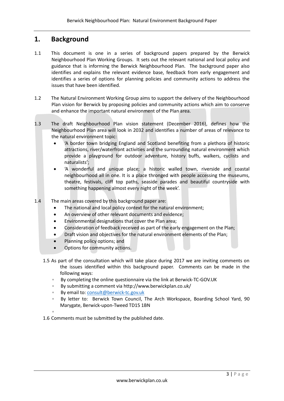# **1. Background**

- 1.1 This document is one in a series of background papers prepared by the Berwick Neighbourhood Plan Working Groups. It sets out the relevant national and local policy and guidance that is informing the Berwick Neighbourhood Plan. The background paper also identifies and explains the relevant evidence base, feedback from early engagement and identifies a series of options for planning policies and community actions to address the issues that have been identified.
- 1.2 The Natural Environment Working Group aims to support the delivery of the Neighbourhood Plan vision for Berwick by proposing policies and community actions which aim to conserve and enhance the important natural environment of the Plan area.
- 1.3 The draft Neighbourhood Plan vision statement (December 2016), defines how the Neighbourhood Plan area will look in 2032 and identifies a number of areas of relevance to the natural environment topic:
	- 'A border town bridging England and Scotland benefiting from a plethora of historic attractions, river/waterfront activities and the surrounding natural environment which provide a playground for outdoor adventure, history buffs, walkers, cyclists and naturalists';
	- 'A wonderful and unique place; a historic walled town, riverside and coastal neighbourhood all in one. It is a place thronged with people accessing the museums, theatre, festivals, cliff top paths, seaside parades and beautiful countryside with something happening almost every night of the week'.
- 1.4 The main areas covered by this background paper are:
	- The national and local policy context for the natural environment;
	- An overview of other relevant documents and evidence;
	- Environmental designations that cover the Plan area;
	- Consideration of feedback received as part of the early engagement on the Plan;
	- Draft vision and objectives for the natural environment elements of the Plan;
	- Planning policy options; and
	- Options for community actions.
	- 1.5 As part of the consultation which will take place during 2017 we are inviting comments on the issues identified within this background paper. Comments can be made in the following ways:
		- By completing the online questionnaire via the link at Berwick-TC-GOV.UK
		- By submitting a comment via http://www.berwickplan.co.uk/
		- By email to[: consult@berwick-tc.gov.uk](mailto:consult@berwick-tc.gov.uk)
		- By letter to: Berwick Town Council, The Arch Workspace, Boarding School Yard, 90 Marygate, Berwick-upon-Tweed TD15 1BN
		- ◦

1.6 Comments must be submitted by the published date.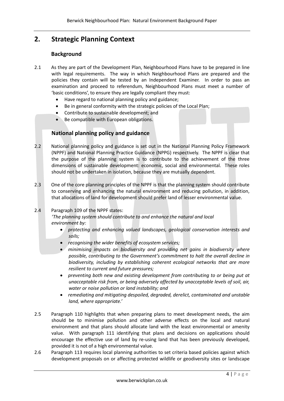# **2. Strategic Planning Context**

# **Background**

- 2.1 As they are part of the Development Plan, Neighbourhood Plans have to be prepared in line with legal requirements. The way in which Neighbourhood Plans are prepared and the policies they contain will be tested by an Independent Examiner. In order to pass an examination and proceed to referendum, Neighbourhood Plans must meet a number of 'basic conditions', to ensure they are legally compliant they must:
	- Have regard to national planning policy and guidance;
	- Be in general conformity with the strategic policies of the Local Plan;
	- Contribute to sustainable development; and
	- Be compatible with European obligations.

# **National planning policy and guidance**

- 2.2 National planning policy and guidance is set out in the National Planning Policy Framework (NPPF) and National Planning Practice Guidance (NPPG) respectively. The NPPF is clear that the purpose of the planning system is to contribute to the achievement of the three dimensions of sustainable development: economic, social and environmental. These roles should not be undertaken in isolation, because they are mutually dependent.
- 2.3 One of the core planning principles of the NPPF is that the planning system should contribute to conserving and enhancing the natural environment and reducing pollution, in addition, that allocations of land for development should prefer land of lesser environmental value.

#### 2.4 Paragraph 109 of the NPPF states:

*'The planning system should contribute to and enhance the natural and local environment by:*

- *protecting and enhancing valued landscapes, geological conservation interests and soils;*
- *recognising the wider benefits of ecosystem services;*
- *minimising impacts on biodiversity and providing net gains in biodiversity where possible, contributing to the Government's commitment to halt the overall decline in biodiversity, including by establishing coherent ecological networks that are more resilient to current and future pressures;*
- *preventing both new and existing development from contributing to or being put at unacceptable risk from, or being adversely affected by unacceptable levels of soil, air, water or noise pollution or land instability; and*
- *remediating and mitigating despoiled, degraded, derelict, contaminated and unstable land, where appropriate.'*
- 2.5 Paragraph 110 highlights that when preparing plans to meet development needs, the aim should be to minimise pollution and other adverse effects on the local and natural environment and that plans should allocate land with the least environmental or amenity value. With paragraph 111 identifying that plans and decisions on applications should encourage the effective use of land by re-using land that has been previously developed, provided it is not of a high environmental value.
- 2.6 Paragraph 113 requires local planning authorities to set criteria based policies against which development proposals on or affecting protected wildlife or geodiversity sites or landscape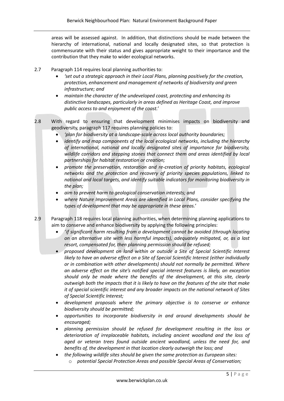areas will be assessed against. In addition, that distinctions should be made between the hierarchy of international, national and locally designated sites, so that protection is commensurate with their status and gives appropriate weight to their importance and the contribution that they make to wider ecological networks.

- 2.7 Paragraph 114 requires local planning authorities to:
	- *'set out a strategic approach in their Local Plans, planning positively for the creation, protection, enhancement and management of networks of biodiversity and green infrastructure; and*
	- *maintain the character of the undeveloped coast, protecting and enhancing its distinctive landscapes, particularly in areas defined as Heritage Coast, and improve public access to and enjoyment of the coast.'*
- 2.8 With regard to ensuring that development minimises impacts on biodiversity and geodiversity, paragraph 117 requires planning policies to:
	- *'plan for biodiversity at a landscape-scale across local authority boundaries;*
	- *identify and map components of the local ecological networks, including the hierarchy of international, national and locally designated sites of importance for biodiversity, wildlife corridors and stepping stones that connect them and areas identified by local partnerships for habitat restoration or creation;*
	- *promote the preservation, restoration and re-creation of priority habitats, ecological networks and the protection and recovery of priority species populations, linked to national and local targets, and identify suitable indicators for monitoring biodiversity in the plan;*
	- *aim to prevent harm to geological conservation interests; and*
	- *where Nature Improvement Areas are identified in Local Plans, consider specifying the types of development that may be appropriate in these areas.'*
- 2.9 Paragraph 118 requires local planning authorities, when determining planning applications to aim to conserve and enhance biodiversity by applying the following principles:
	- *'if significant harm resulting from a development cannot be avoided (through locating on an alternative site with less harmful impacts), adequately mitigated, or, as a last resort, compensated for, then planning permission should be refused;*
	- *proposed development on land within or outside a Site of Special Scientific Interest likely to have an adverse effect on a Site of Special Scientific Interest (either individually or in combination with other developments) should not normally be permitted. Where an adverse effect on the site's notified special interest features is likely, an exception should only be made where the benefits of the development, at this site, clearly outweigh both the impacts that it is likely to have on the features of the site that make it of special scientific interest and any broader impacts on the national network of Sites of Special Scientific Interest;*
	- *development proposals where the primary objective is to conserve or enhance biodiversity should be permitted;*
	- *opportunities to incorporate biodiversity in and around developments should be encouraged;*
	- *planning permission should be refused for development resulting in the loss or deterioration of irreplaceable habitats, including ancient woodland and the loss of aged or veteran trees found outside ancient woodland, unless the need for, and benefits of, the development in that location clearly outweigh the loss; and*
	- *the following wildlife sites should be given the same protection as European sites:*
		- o *potential Special Protection Areas and possible Special Areas of Conservation;*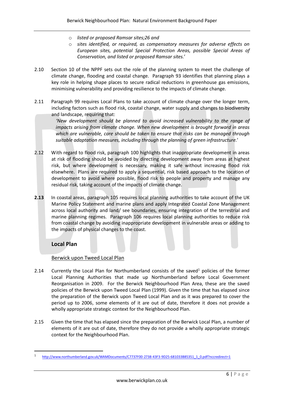- o *listed or proposed Ramsar sites;26 and*
- o *sites identified, or required, as compensatory measures for adverse effects on European sites, potential Special Protection Areas, possible Special Areas of Conservation, and listed or proposed Ramsar sites.'*
- 2.10 Section 10 of the NPPF sets out the role of the planning system to meet the challenge of climate change, flooding and coastal change. Paragraph 93 identifies that planning plays a key role in helping shape places to secure radical reductions in greenhouse gas emissions, minimising vulnerability and providing resilience to the impacts of climate change.
- 2.11 Paragraph 99 requires Local Plans to take account of climate change over the longer term, including factors such as flood risk, coastal change, water supply and changes to biodiversity and landscape, requiring that:

*'New development should be planned to avoid increased vulnerability to the range of impacts arising from climate change. When new development is brought forward in areas which are vulnerable, care should be taken to ensure that risks can be managed through suitable adaptation measures, including through the planning of green infrastructure.'*

- 2.12 With regard to flood risk, paragraph 100 highlights that inappropriate development in areas at risk of flooding should be avoided by directing development away from areas at highest risk, but where development is necessary, making it safe without increasing flood risk elsewhere. Plans are required to apply a sequential, risk based approach to the location of development to avoid where possible, flood risk to people and property and manage any residual risk, taking account of the impacts of climate change.
- **2.13** In coastal areas, paragraph 105 requires local planning authorities to take account of the UK Marine Policy Statement and marine plans and apply Integrated Coastal Zone Management across local authority and land/ see boundaries, ensuring integration of the terrestrial and marine planning regimes. Paragraph 106 requires local planning authorities to reduce risk from coastal change by avoiding inappropriate development in vulnerable areas or adding to the impacts of physical changes to the coast.

# **Local Plan**

**.** 

# Berwick upon Tweed Local Plan

- 2.14 Currently the Local Plan for Northumberland consists of the saved $<sup>1</sup>$  policies of the former</sup> Local Planning Authorities that made up Northumberland before Local Government Reorganisation in 2009. For the Berwick Neighbourhood Plan Area, these are the saved policies of the Berwick upon Tweed Local Plan (1999). Given the time that has elapsed since the preparation of the Berwick upon Tweed Local Plan and as it was prepared to cover the period up to 2006, some elements of it are out of date, therefore it does not provide a wholly appropriate strategic context for the Neighbourhood Plan.
- 2.15 Given the time that has elapsed since the preparation of the Berwick Local Plan, a number of elements of it are out of date, therefore they do not provide a wholly appropriate strategic context for the Neighbourhood Plan.

<sup>1</sup> [http://www.northumberland.gov.uk/WAMDocuments/C7737F00-2738-43F3-9D25-681033B85351\\_1\\_0.pdf?nccredirect=1](http://www.northumberland.gov.uk/WAMDocuments/C7737F00-2738-43F3-9D25-681033B85351_1_0.pdf?nccredirect=1)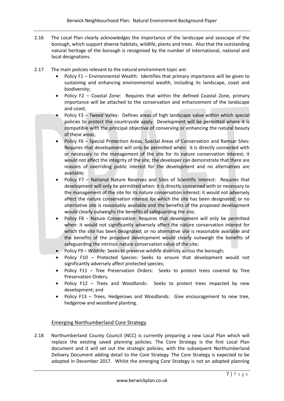- 2.16 The Local Plan clearly acknowledges the importance of the landscape and seascape of the borough, which support diverse habitats, wildlife, plants and trees. Also that the outstanding natural heritage of the borough is recognised by the number of international, national and local designations.
- 2.17 The main policies relevant to the natural environment topic are:
	- Policy F1 Environmental Wealth: Identifies that primary importance will be given to sustaining and enhancing environmental wealth, including its landscape, coast and biodiversity;
	- Policy F2 Coastal Zone: Requires that within the defined Coastal Zone, primary importance will be attached to the conservation and enhancement of the landscape and coast;
	- Policy F3 Tweed Valley: Defines areas of high landscape value within which special policies to protect the countryside apply. Development will be permitted where it is compatible with the principal objective of conserving or enhancing the natural beauty of these areas;
	- Policy F6 Special Protection Areas, Special Areas of Conservation and Ramsar Sites: Requires that development will only be permitted when: it is directly connected with or necessary to the management of the site for its nature conservation interest; it would not affect the integrity of the site; the developer can demonstrate that there are reasons of overriding public interest for the development and no alternatives are available;
	- Policy F7 National Nature Reserves and Sites of Scientific Interest: Requires that development will only be permitted when: it is directly concerned with or necessary to the management of the site for its nature conservation interest; it would not adversely affect the nature conservation interest for which the site has been designated; or no alternative site is reasonably available and the benefits of the proposed development would clearly outweighs the benefits of safeguarding the site;
	- Policy F8 Nature Conservation: Requires that development will only be permitted when: it would not significantly adversely affect the nature conservation interest for which the site has been designated; or no alternative site is reasonable available and the benefits of the proposed development would clearly outweigh the benefits of safeguarding the intrinsic nature conservation value of the site;
	- Policy F9 Wildlife: Seeks to preserve wildlife diversity across the borough;
	- Policy F10 Protected Species: Seeks to ensure that development would not significantly adversely affect protected species;
	- Policy F11 Tree Preservation Orders: Seeks to protect trees covered by Tree Preservation Orders;
	- Policy F12 Trees and Woodlands: Seeks to protect trees impacted by new development; and
	- Policy F13 Trees, Hedgerows and Woodlands: Give encouragement to new tree, hedgerow and woodland planting.

# Emerging Northumberland Core Strategy

2.18 Northumberland County Council (NCC) is currently preparing a new Local Plan which will replace the existing saved planning policies. The Core Strategy is the first Local Plan document and it will set out the strategic policies, with the subsequent Northumberland Delivery Document adding detail to the Core Strategy. The Core Strategy is expected to be adopted in December 2017. Whilst the emerging Core Strategy is not an adopted planning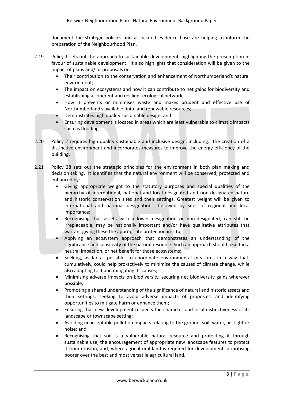document the strategic policies and associated evidence base are helping to inform the preparation of the Neighbourhood Plan.

- 2.19 Policy 1 sets out the approach to sustainable development, highlighting the presumption in favour of sustainable development. It also highlights that consideration will be given to the impact of plans and/ or proposals on:
	- Their contribution to the conservation and enhancement of Northumberland's natural environment;
	- The impact on ecosystems and how it can contribute to net gains for biodiversity and establishing a coherent and resilient ecological network;
	- How it prevents or minimises waste and makes prudent and effective use of Northumberland's available finite and renewable resources;
	- Demonstrates high quality sustainable design; and
	- Ensuring development is located in areas which are least vulnerable to climatic impacts such as flooding.
- 2.20 Policy 2 requires high quality sustainable and inclusive design, including: the creation of a distinctive environment and incorporates measures to improve the energy efficiency of the building.
- 2.21 Policy 28 sets out the strategic principles for the environment in both plan making and decision taking. It identifies that the natural environment will be conserved, protected and enhanced by:
	- Giving appropriate weight to the statutory purposes and special qualities of the hierarchy of international, national and local designated and non-designated nature and historic conservation sites and their settings. Greatest weight will be given to international and national designations, followed by sites of regional and local importance;
	- Recognising that assets with a lower designation or non-designated, can still be irreplaceable, may be nationally important and/or have qualitative attributes that warrant giving these the appropriate protection in-situ;
	- Applying an ecosystem approach that demonstrates an understanding of the significance and sensitivity of the natural resource. Such an approach should result in a neutral impact on, or net benefit for those ecosystems;
	- Seeking, as far as possible, to coordinate environmental measures in a way that, cumulatively, could help pro-actively to minimise the causes of climate change, while also adapting to it and mitigating its causes;
	- Minimising adverse impacts on biodiversity, securing net biodiversity gains wherever possible;
	- Promoting a shared understanding of the significance of natural and historic assets and their settings, seeking to avoid adverse impacts of proposals, and identifying opportunities to mitigate harm or enhance them;
	- Ensuring that new development respects the character and local distinctiveness of its landscape or townscape setting;
	- Avoiding unacceptable pollution impacts relating to the ground, soil, water, air, light or noise; and
	- Recognising that soil is a vulnerable natural resource and protecting it through sustainable use, the encouragement of appropriate new landscape features to protect it from erosion, and, where agricultural land is required for development, prioritising poorer over the best and most versatile agricultural land.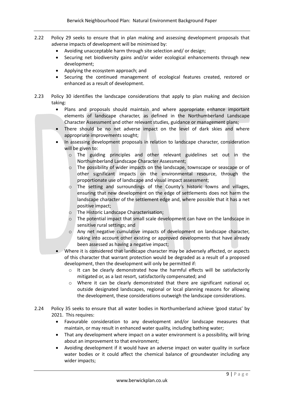- 2.22 Policy 29 seeks to ensure that in plan making and assessing development proposals that adverse impacts of development will be minimised by:
	- Avoiding unacceptable harm through site selection and/ or design;
	- Securing net biodiversity gains and/or wider ecological enhancements through new development;
	- Applying the ecosystem approach; and
	- Securing the continued management of ecological features created, restored or enhanced as a result of development.
- 2.23 Policy 30 identifies the landscape considerations that apply to plan making and decision taking:
	- Plans and proposals should maintain and where appropriate enhance important elements of landscape character, as defined in the Northumberland Landscape Character Assessment and other relevant studies, guidance or management plans;
	- There should be no net adverse impact on the level of dark skies and where appropriate improvements sought;
	- In assessing development proposals in relation to landscape character, consideration will be given to:
		- o The guiding principles and other relevant guidelines set out in the Northumberland Landscape Character Assessment;
		- o The possibility of wider impacts on the landscape, townscape or seascape or of other significant impacts on the environmental resource, through the proportionate use of landscape and visual impact assessment;
		- The setting and surroundings of the County's historic towns and villages, ensuring that new development on the edge of settlements does not harm the landscape character of the settlement edge and, where possible that it has a net positive impact;
		- o The Historic Landscape Characterisation;
		- o The potential impact that small scale development can have on the landscape in sensitive rural settings; and
		- o Any net negative cumulative impacts of development on landscape character, taking into account other existing or approved developments that have already been assessed as having a negative impact;
	- Where it is considered that landscape character may be adversely affected, or aspects of this character that warrant protection would be degraded as a result of a proposed development, then the development will only be permitted if:
		- $\circ$  It can be clearly demonstrated how the harmful effects will be satisfactorily mitigated or, as a last resort, satisfactorily compensated; and
		- o Where it can be clearly demonstrated that there are significant national or, outside designated landscapes, regional or local planning reasons for allowing the development, these considerations outweigh the landscape considerations.
- 2.24 Policy 35 seeks to ensure that all water bodies in Northumberland achieve 'good status' by 2021. This requires:
	- Favourable consideration to any development and/or landscape measures that maintain, or may result in enhanced water quality, including bathing water;
	- That any development where impact on a water environment is a possibility, will bring about an improvement to that environment;
	- Avoiding development if it would have an adverse impact on water quality in surface water bodies or it could affect the chemical balance of groundwater including any wider impacts;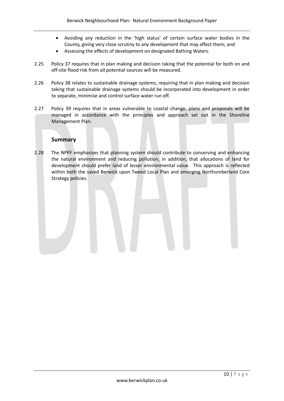- Avoiding any reduction in the 'high status' of certain surface water bodies in the County, giving very close scrutiny to any development that may affect them; and
- Assessing the effects of development on designated Bathing Waters.
- 2.25 Policy 37 requires that in plan making and decision taking that the potential for both on and off-site flood risk from all potential sources will be measured.
- 2.26 Policy 38 relates to sustainable drainage systems, requiring that in plan making and decision taking that sustainable drainage systems should be incorporated into development in order to separate, minimise and control surface water run off.
- 2.27 Policy 39 requires that in areas vulnerable to coastal change, plans and proposals will be managed in accordance with the principles and approach set out in the Shoreline Management Plan.

#### **Summary**

2.28 The NPPF emphasises that planning system should contribute to conserving and enhancing the natural environment and reducing pollution, in addition, that allocations of land for development should prefer land of lesser environmental value. This approach is reflected within both the saved Berwick upon Tweed Local Plan and emerging Northumberland Core Strategy policies.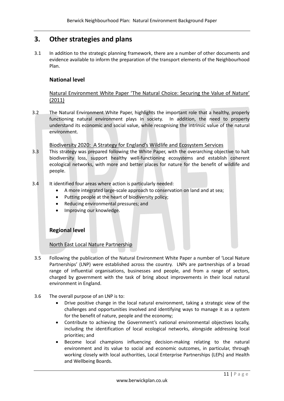# **3. Other strategies and plans**

3.1 In addition to the strategic planning framework, there are a number of other documents and evidence available to inform the preparation of the transport elements of the Neighbourhood Plan.

# **National level**

Natural Environment White Paper 'The Natural Choice: Securing the Value of Nature' (2011)

3.2 The Natural Environment White Paper, highlights the important role that a healthy, properly functioning natural environment plays in society. In addition, the need to property understand its economic and social value, while recognising the intrinsic value of the natural environment.

Biodiversity 2020: A Strategy for England's Wildlife and Ecosystem Services

- 3.3 This strategy was prepared following the White Paper, with the overarching objective to halt biodiversity loss, support healthy well-functioning ecosystems and establish coherent ecological networks, with more and better places for nature for the benefit of wildlife and people.
- 3.4 It identified four areas where action is particularly needed:
	- A more integrated large-scale approach to conservation on land and at sea;
	- Putting people at the heart of biodiversity policy;
	- Reducing environmental pressures; and
	- Improving our knowledge.

# **Regional level**

# North East Local Nature Partnership

- 3.5 Following the publication of the Natural Environment White Paper a number of 'Local Nature Partnerships' (LNP) were established across the country. LNPs are partnerships of a broad range of influential organisations, businesses and people, and from a range of sectors, charged by government with the task of bring about improvements in their local natural environment in England.
- 3.6 The overall purpose of an LNP is to:
	- Drive positive change in the local natural environment, taking a strategic view of the challenges and opportunities involved and identifying ways to manage it as a system for the benefit of nature, people and the economy;
	- Contribute to achieving the Government's national environmental objectives locally, including the identification of local ecological networks, alongside addressing local priorities; and
	- Become local champions influencing decision-making relating to the natural environment and its value to social and economic outcomes, in particular, through working closely with local authorities, Local Enterprise Partnerships (LEPs) and Health and Wellbeing Boards.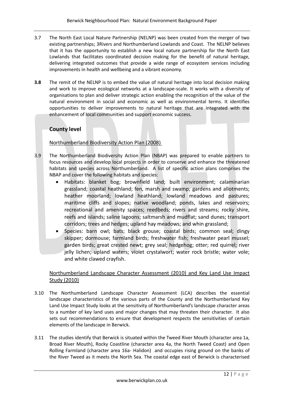- 3.7 The North East Local Nature Partnership (NELNP) was been created from the merger of two existing partnerships; 3Rivers and Northumberland Lowlands and Coast. The NELNP believes that it has the opportunity to establish a new local nature partnership for the North East Lowlands that facilitates coordinated decision making for the benefit of natural heritage, delivering integrated outcomes that provide a wide range of ecosystem services including improvements in health and wellbeing and a vibrant economy.
- **3.8** The remit of the NELNP is to embed the value of natural heritage into local decision making and work to improve ecological networks at a landscape-scale. It works with a diversity of organisations to plan and deliver strategic action enabling the recognition of the value of the natural environment in social and economic as well as environmental terms. It identifies opportunities to deliver improvements to natural heritage that are integrated with the enhancement of local communities and support economic success.

# **County level**

# Northumberland Biodiversity Action Plan (2008)

- 3.9 The Northumberland Biodiversity Action Plan (NBAP) was prepared to enable partners to focus resources and develop local projects in order to conserve and enhance the threatened habitats and species across Northumberland. A list of specific action plans comprises the NBAP and cover the following habitats and species:
	- Habitats: blanket bog; brownfield land; built environment; calaminarian grassland; coastal heathland; fen, marsh and swamp; gardens and allotments; heather moorland; lowland heathland; lowland meadows and pastures; maritime cliffs and slopes; native woodland; ponds, lakes and reservoirs; recreational and amenity spaces; reedbeds; rivers and streams; rocky shire, reefs and islands; saline lagoons; saltmarsh and mudflat; sand dunes; transport corridors; trees and hedges; upland hay meadows; and whin grassland;
	- Species: barn owl; bats; black grouse; coastal birds; common seal; dingy skipper; dormouse; farmland birds; freshwater fish; freshwater pearl mussel; garden birds; great crested newt; grey seal; hedgehog; otter; red quirrel; river jelly lichen; upland waters; violet crystalwort; water rock bristle; water vole; and white clawed crayfish.

# Northumberland Landscape Character Assessment (2010) and Key Land Use Impact Study (2010)

- 3.10 The Northumberland Landscape Character Assessment (LCA) describes the essential landscape characteristics of the various parts of the County and the Northumberland Key Land Use Impact Study looks at the sensitivity of Northumberland's landscape character areas to a number of key land uses and major changes that may threaten their character. It also sets out recommendations to ensure that development respects the sensitivities of certain elements of the landscape in Berwick.
- 3.11 The studies identify that Berwick is situated within the Tweed River Mouth (character area 1a, Broad River Mouth), Rocky Coastline (character area 4a, the North Tweed Coast) and Open Rolling Farmland (character area 16a- Halidon) and occupies rising ground on the banks of the River Tweed as it meets the North Sea. The coastal edge east of Berwick is characterised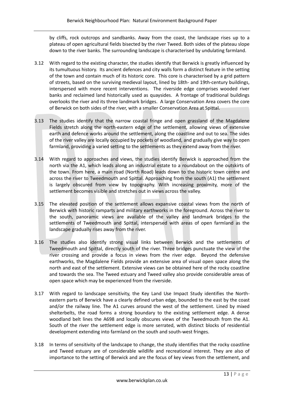by cliffs, rock outcrops and sandbanks. Away from the coast, the landscape rises up to a plateau of open agricultural fields bisected by the river Tweed. Both sides of the plateau slope down to the river banks. The surrounding landscape is characterised by undulating farmland.

- 3.12 With regard to the existing character, the studies identify that Berwick is greatly influenced by its tumultuous history. Its ancient defences and city walls form a distinct feature in the setting of the town and contain much of its historic core. This core is characterised by a grid pattern of streets, based on the surviving medieval layout, lined by 18th- and 19th-century buildings, interspersed with more recent interventions. The riverside edge comprises wooded river banks and reclaimed land historically used as quaysides. A frontage of traditional buildings overlooks the river and its three landmark bridges. A large Conservation Area covers the core of Berwick on both sides of the river, with a smaller Conservation Area at Spittal.
- 3.13 The studies identify that the narrow coastal fringe and open grassland of the Magdalene Fields stretch along the north-eastern edge of the settlement, allowing views of extensive earth and defence works around the settlement, along the coastline and out to sea. The sides of the river valley are locally occupied by pockets of woodland, and gradually give way to open farmland, providing a varied setting to the settlements as they extend away from the river.
- 3.14 With regard to approaches and views, the studies identify Berwick is approached from the north via the A1, which leads along an industrial estate to a roundabout on the outskirts of the town. From here, a main road (North Road) leads down to the historic town centre and across the river to Tweedmouth and Spittal. Approaching from the south (A1) the settlement is largely obscured from view by topography. With increasing proximity, more of the settlement becomes visible and stretches out in views across the valley.
- 3.15 The elevated position of the settlement allows expansive coastal views from the north of Berwick with historic ramparts and military earthworks in the foreground. Across the river to the south, panoramic views are available of the valley and landmark bridges to the settlements of Tweedmouth and Spittal, interspersed with areas of open farmland as the landscape gradually rises away from the river.
- 3.16 The studies also identify strong visual links between Berwick and the settlements of Tweedmouth and Spittal, directly south of the river. Three bridges punctuate the view of the river crossing and provide a focus in views from the river edge. Beyond the defensive earthworks, the Magdalene Fields provide an extensive area of visual open space along the north and east of the settlement. Extensive views can be obtained here of the rocky coastline and towards the sea. The Tweed estuary and Tweed valley also provide considerable areas of open space which may be experienced from the riverside.
- 3.17 With regard to landscape sensitivity, the Key Land Use Impact Study identifies the Northeastern parts of Berwick have a clearly defined urban edge, bounded to the east by the coast and/or the railway line. The A1 curves around the west of the settlement. Lined by mixed shelterbelts, the road forms a strong boundary to the existing settlement edge. A dense woodland belt lines the A698 and locally obscures views of the Tweedmouth from the A1. South of the river the settlement edge is more serrated, with distinct blocks of residential development extending into farmland on the south and south-west fringes.
- 3.18 In terms of sensitivity of the landscape to change, the study identifies that the rocky coastline and Tweed estuary are of considerable wildlife and recreational interest. They are also of importance to the setting of Berwick and are the focus of key views from the settlement, and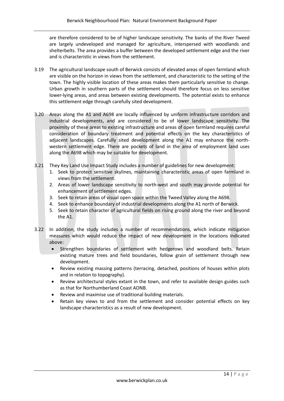are therefore considered to be of higher landscape sensitivity. The banks of the River Tweed are largely undeveloped and managed for agriculture, interspersed with woodlands and shelterbelts. The area provides a buffer between the developed settlement edge and the river and is characteristic in views from the settlement.

- 3.19 The agricultural landscape south of Berwick consists of elevated areas of open farmland which are visible on the horizon in views from the settlement, and characteristic to the setting of the town. The highly visible location of these areas makes them particularly sensitive to change. Urban growth in southern parts of the settlement should therefore focus on less sensitive lower-lying areas, and areas between existing developments. The potential exists to enhance this settlement edge through carefully sited development.
- 3.20 Areas along the A1 and A698 are locally influenced by uniform infrastructure corridors and industrial developments, and are considered to be of lower landscape sensitivity. The proximity of these areas to existing infrastructure and areas of open farmland requires careful consideration of boundary treatment and potential effects on the key characteristics of adjacent landscapes. Carefully sited development along the A1 may enhance the northwestern settlement edge. There are pockets of land in the area of employment land uses along the A698 which may be suitable for development.
- 3.21 They Key Land Use Impact Study includes a number of guidelines for new development:
	- 1. Seek to protect sensitive skylines, maintaining characteristic areas of open farmland in views from the settlement.
	- 2. Areas of lower landscape sensitivity to north-west and south may provide potential for enhancement of settlement edges.
	- 3. Seek to retain areas of visual open space within the Tweed Valley along the A698.
	- 4. Seek to enhance boundary of industrial developments along the A1 north of Berwick.
	- 5. Seek to retain character of agricultural fields on rising ground along the river and beyond the A1.
- 3.22 In addition, the study includes a number of recommendations, which indicate mitigation measures which would reduce the impact of new development in the locations indicated above:
	- Strengthen boundaries of settlement with hedgerows and woodland belts. Retain existing mature trees and field boundaries, follow grain of settlement through new development.
	- Review existing massing patterns (terracing, detached, positions of houses within plots and in relation to topography).
	- Review architectural styles extant in the town, and refer to available design guides such as that for Northumberland Coast AONB.
	- Review and maximise use of traditional building materials.
	- Retain key views to and from the settlement and consider potential effects on key landscape characteristics as a result of new development.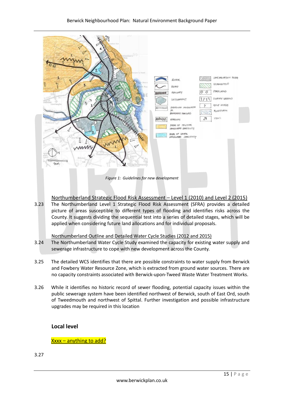

#### Northumberland Strategic Flood Risk Assessment – Level 1 (2010) and Level 2 (2015)

3.23 The Northumberland Level 1 Strategic Flood Risk Assessment (SFRA) provides a detailed picture of areas susceptible to different types of flooding and identifies risks across the County. It suggests dividing the sequential test into a series of detailed stages, which will be applied when considering future land allocations and for individual proposals.

#### Northumberland Outline and Detailed Water Cycle Studies (2012 and 2015)

- 3.24 The Northumberland Water Cycle Study examined the capacity for existing water supply and sewerage infrastructure to cope with new development across the County.
- 3.25 The detailed WCS identifies that there are possible constraints to water supply from Berwick and Fowbery Water Resource Zone, which is extracted from ground water sources. There are no capacity constraints associated with Berwick-upon-Tweed Waste Water Treatment Works.
- 3.26 While it identifies no historic record of sewer flooding, potential capacity issues within the public sewerage system have been identified northwest of Berwick, south of East Ord, south of Tweedmouth and northwest of Spittal. Further investigation and possible infrastructure upgrades may be required in this location

#### **Local level**

Xxxx – anything to add?

3.27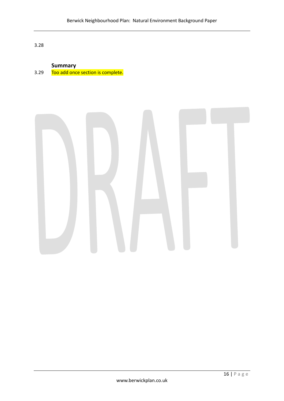3.28

# **Summary**

3.29 Too add once section is complete.

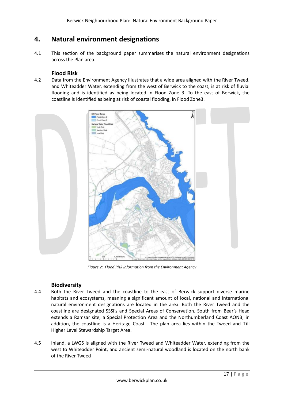# **4. Natural environment designations**

4.1 This section of the background paper summarises the natural environment designations across the Plan area.

### **Flood Risk**

4.2 Data from the Environment Agency illustrates that a wide area aligned with the River Tweed, and Whiteadder Water, extending from the west of Berwick to the coast, is at risk of fluvial flooding and is identified as being located in Flood Zone 3. To the east of Berwick, the coastline is identified as being at risk of coastal flooding, in Flood Zone3.



*Figure 2: Flood Risk information from the Environment Agency*

# **Biodiversity**

- 4.4 Both the River Tweed and the coastline to the east of Berwick support diverse marine habitats and ecosystems, meaning a significant amount of local, national and international natural environment designations are located in the area. Both the River Tweed and the coastline are designated SSSI's and Special Areas of Conservation. South from Bear's Head extends a Ramsar site, a Special Protection Area and the Northumberland Coast AONB; in addition, the coastline is a Heritage Coast. The plan area lies within the Tweed and Till Higher Level Stewardship Target Area.
- 4.5 Inland, a LWGS is aligned with the River Tweed and Whiteadder Water, extending from the west to Whiteadder Point, and ancient semi-natural woodland is located on the north bank of the River Tweed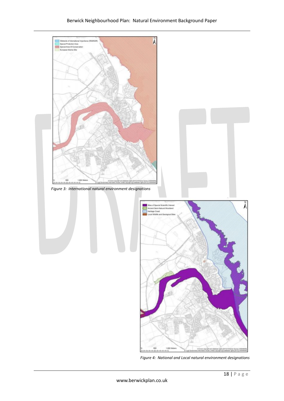

*Figure 4: National and Local natural environment designations*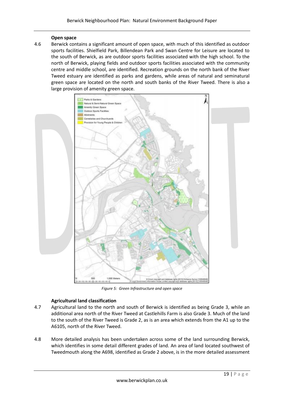#### **Open space**

4.6 Berwick contains a significant amount of open space, with much of this identified as outdoor sports facilities. Shielfield Park, Billendean Park and Swan Centre for Leisure are located to the south of Berwick, as are outdoor sports facilities associated with the high school. To the north of Berwick, playing fields and outdoor sports facilities associated with the community centre and middle school, are identified. Recreation grounds on the north bank of the River Tweed estuary are identified as parks and gardens, while areas of natural and seminatural green space are located on the north and south banks of the River Tweed. There is also a large provision of amenity green space.



*Figure 5: Green Infrastructure and open space*

#### **Agricultural land classification**

- 4.7 Agricultural land to the north and south of Berwick is identified as being Grade 3, while an additional area north of the River Tweed at Castlehills Farm is also Grade 3. Much of the land to the south of the River Tweed is Grade 2, as is an area which extends from the A1 up to the A6105, north of the River Tweed.
- 4.8 More detailed analysis has been undertaken across some of the land surrounding Berwick, which identifies in some detail different grades of land. An area of land located southwest of Tweedmouth along the A698, identified as Grade 2 above, is in the more detailed assessment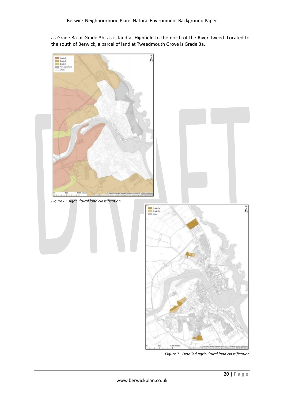as Grade 3a or Grade 3b; as is land at Highfield to the north of the River Tweed. Located to the south of Berwick, a parcel of land at Tweedmouth Grove is Grade 3a.



*Figure 7: Detailed agricultural land classification*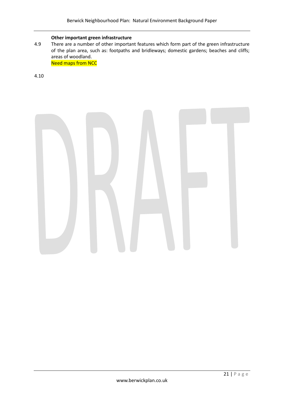#### **Other important green infrastructure**

4.9 There are a number of other important features which form part of the green infrastructure of the plan area, such as: footpaths and bridleways; domestic gardens; beaches and cliffs; areas of woodland. **Need maps from NCC** 

4.10

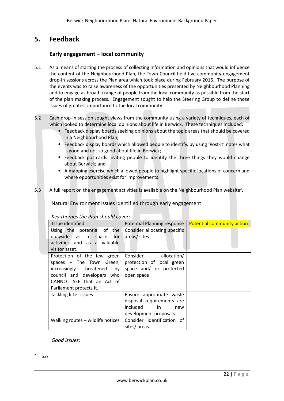# **5. Feedback**

# **Early engagement – local community**

- 5.1 As a means of starting the process of collecting information and opinions that would influence the content of the Neighbourhood Plan, the Town Council held five community engagement drop-in sessions across the Plan area which took place during February 2016. The purpose of the events was to raise awareness of the opportunities presented by Neighbourhood Planning and to engage as broad a range of people from the local community as possible from the start of the plan making process. Engagement sought to help the Steering Group to define those issues of greatest importance to the local community
- 5.2 Each drop-in session sought views from the community using a variety of techniques, each of which looked to determine local opinions about life in Berwick. These techniques included:
	- Feedback display boards seeking opinions about the topic areas that should be covered in a Neighbourhood Plan;
	- Feedback display boards which allowed people to identify, by using 'Post-it' notes what is good and not so good about life in Berwick;
	- Feedback postcards inviting people to identify the three things they would change about Berwick; and
	- A mapping exercise which allowed people to highlight specific locations of concern and where opportunities exist for improvements.
- 5.3 A full report on the engagement activities is available on the Neighbourhood Plan website<sup>2</sup>.

# Natural Environment issues identified through early engagement

| <b>Issue identified</b>           | Potential Planning response  | <b>Potential community action</b> |
|-----------------------------------|------------------------------|-----------------------------------|
| Using the potential of the        | Consider allocating specific |                                   |
| quayside as a space<br>for I      | areas/ sites                 |                                   |
| activities and as a valuable      |                              |                                   |
| visitor asset.                    |                              |                                   |
| Protection of the few green       | Consider allocation/         |                                   |
| spaces $-$ The Town Green,        | protection of local green    |                                   |
| increasingly threatened by        | space and/ or protected      |                                   |
| council and developers who        | open space                   |                                   |
| CANNOT SEE that an Act of         |                              |                                   |
| Parliament protects it.           |                              |                                   |
| Tackling litter issues            | Ensure appropriate waste     |                                   |
|                                   | disposal requirements are    |                                   |
|                                   | included<br>in in<br>new     |                                   |
|                                   | development proposals.       |                                   |
| Walking routes - wildlife notices | Consider identification of   |                                   |
|                                   | sites/areas.                 |                                   |

*Key themes the Plan should cover:*

# *Good issues:*

**.** 

<sup>2</sup> xxx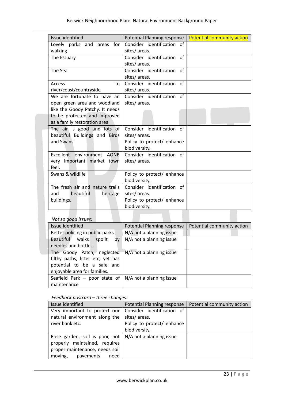| Issue identified                 | Potential Planning response | <b>Potential community action</b> |  |
|----------------------------------|-----------------------------|-----------------------------------|--|
| for<br>Lovely parks and<br>areas | Consider identification of  |                                   |  |
| walking                          | sites/areas.                |                                   |  |
| The Estuary                      | Consider identification of  |                                   |  |
|                                  | sites/areas.                |                                   |  |
| The Sea                          | Consider identification of  |                                   |  |
|                                  | sites/areas.                |                                   |  |
| Access<br>to                     | Consider identification of  |                                   |  |
| river/coast/countryside          | sites/areas.                |                                   |  |
| We are fortunate to have an      | Consider identification of  |                                   |  |
| open green area and woodland     | sites/areas.                |                                   |  |
| like the Goody Patchy. It needs  |                             |                                   |  |
| to be protected and improved     |                             |                                   |  |
| as a family restoration area     |                             |                                   |  |
| The air is good and lots of      | Consider identification of  |                                   |  |
| beautiful Buildings and Birds    | sites/areas.                |                                   |  |
| and Swans                        | Policy to protect/ enhance  |                                   |  |
|                                  | biodiversity.               |                                   |  |
| Excellent environment AONB       | Consider identification of  |                                   |  |
| very important market town       | sites/areas.                |                                   |  |
| feel.                            |                             |                                   |  |
| Swans & wildlife                 | Policy to protect/ enhance  |                                   |  |
|                                  | biodiversity.               |                                   |  |
| The fresh air and nature trails  | Consider identification of  |                                   |  |
| beautiful<br>heritage<br>and     | sites/areas.                |                                   |  |
| buildings.                       | Policy to protect/ enhance  |                                   |  |
|                                  | biodiversity.               |                                   |  |

# *Not so good issues:*

| Issue identified                  | Potential Planning response | Potential community action |
|-----------------------------------|-----------------------------|----------------------------|
| Better policing in public parks.  | N/A not a planning issue    |                            |
| Beautiful walks<br>spoilt<br>bv   | N/A not a planning issue    |                            |
| needles and bottles.              |                             |                            |
| The Goody Patch, neglected        | N/A not a planning issue    |                            |
| filthy paths, litter etc, yet has |                             |                            |
| potential to be a safe and        |                             |                            |
| enjoyable area for families.      |                             |                            |
| Seafield Park - poor state of     | N/A not a planning issue    |                            |
| maintenance                       |                             |                            |
|                                   |                             |                            |

#### *Feedback postcard – three changes:*

| Issue identified                                                        | Potential Planning response | Potential community action |
|-------------------------------------------------------------------------|-----------------------------|----------------------------|
| Very important to protect our                                           | Consider identification of  |                            |
| natural environment along the                                           | sites/areas.                |                            |
| river bank etc.                                                         | Policy to protect/ enhance  |                            |
|                                                                         | biodiversity.               |                            |
| Rose garden, soil is poor, not $\vert N/A \rangle$ not a planning issue |                             |                            |
| properly maintained, requires                                           |                             |                            |
| proper maintenance, needs soil                                          |                             |                            |
| moving,<br>pavements<br>need                                            |                             |                            |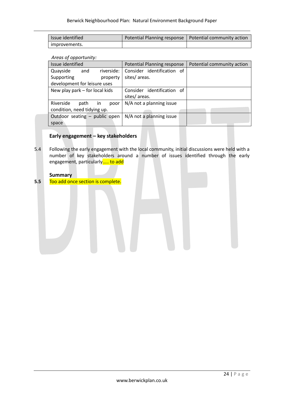| <b>Issue identified</b> | Potential Planning response   Potential community action |  |  |
|-------------------------|----------------------------------------------------------|--|--|
| improvements.           |                                                          |  |  |

*Areas of opportunity:*

| Issue identified               |      | Potential Planning response |              | Potential community action |  |  |
|--------------------------------|------|-----------------------------|--------------|----------------------------|--|--|
| Quayside                       | and  | riverside:                  |              | Consider identification of |  |  |
| Supporting                     |      | property                    | sites/areas. |                            |  |  |
| development for leisure uses   |      |                             |              |                            |  |  |
| New play park – for local kids |      |                             |              | Consider identification of |  |  |
|                                |      |                             | sites/areas. |                            |  |  |
| Riverside                      | path | in<br>poor                  |              | N/A not a planning issue   |  |  |
| condition, need tidying up.    |      |                             |              |                            |  |  |
| Outdoor seating - public open  |      |                             |              | N/A not a planning issue   |  |  |
| space                          |      |                             |              |                            |  |  |

# **Early engagement – key stakeholders**

5.4 Following the early engagement with the local community, initial discussions were held with a number of key stakeholders around a number of issues identified through the early engagement, particularly..... to add

### **Summary**

**5.5** Too add once section is complete.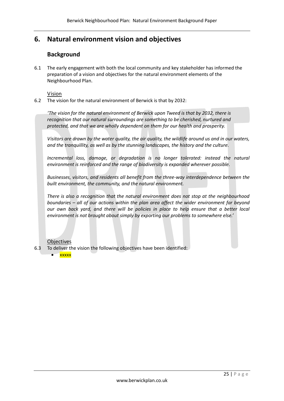# **6. Natural environment vision and objectives**

# **Background**

6.1 The early engagement with both the local community and key stakeholder has informed the preparation of a vision and objectives for the natural environment elements of the Neighbourhood Plan.

Vision

6.2 The vision for the natural environment of Berwick is that by 2032:

*'The vision for the natural environment of Berwick upon Tweed is that by 2032, there is recognition that our natural surroundings are something to be cherished, nurtured and protected, and that we are wholly dependent on them for our health and prosperity.*

*Visitors are drawn by the water quality, the air quality, the wildlife around us and in our waters, and the tranquillity, as well as by the stunning landscapes, the history and the culture.*

*Incremental loss, damage, or degradation is no longer tolerated: instead the natural environment is reinforced and the range of biodiversity is expanded wherever possible.*

*Businesses, visitors, and residents all benefit from the three-way interdependence between the built environment, the community, and the natural environment.*

*There is also a recognition that the natural environment does not stop at the neighbourhood boundaries – all of our actions within the plan area affect the wider environment far beyond our own back yard, and there will be policies in place to help ensure that a better local environment is not brought about simply by exporting our problems to somewhere else.'*

#### **Objectives**

- 6.3 To deliver the vision the following objectives have been identified:
	- **xxxxx**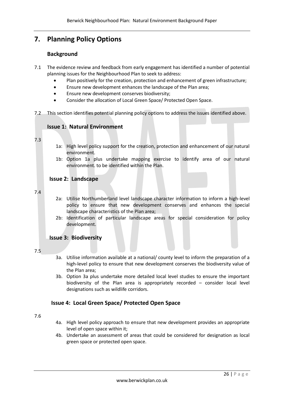# **7. Planning Policy Options**

# **Background**

- 7.1 The evidence review and feedback from early engagement has identified a number of potential planning issues for the Neighbourhood Plan to seek to address:
	- Plan positively for the creation, protection and enhancement of green infrastructure;
	- Ensure new development enhances the landscape of the Plan area;
	- **Ensure new development conserves biodiversity;**
	- Consider the allocation of Local Green Space/ Protected Open Space.
- 7.2 This section identifies potential planning policy options to address the issues identified above.

# **Issue 1: Natural Environment**

#### 7.3

- 1a: High level policy support for the creation, protection and enhancement of our natural environment.
- 1b: Option 1a plus undertake mapping exercise to identify area of our natural environment. to be identified within the Plan.

# **Issue 2: Landscape**

#### 7.4

- 2a: Utilise Northumberland level landscape character information to inform a high-level policy to ensure that new development conserves and enhances the special landscape characteristics of the Plan area;
- 2b: Identification of particular landscape areas for special consideration for policy development.

# **Issue 3: Biodiversity**

#### 7.5

- 3a. Utilise information available at a national/ county level to inform the preparation of a high-level policy to ensure that new development conserves the biodiversity value of the Plan area;
- 3b. Option 3a plus undertake more detailed local level studies to ensure the important biodiversity of the Plan area is appropriately recorded – consider local level designations such as wildlife corridors.

# **Issue 4: Local Green Space/ Protected Open Space**

7.6

- 4a. High level policy approach to ensure that new development provides an appropriate level of open space within it;
- 4b. Undertake an assessment of areas that could be considered for designation as local green space or protected open space.